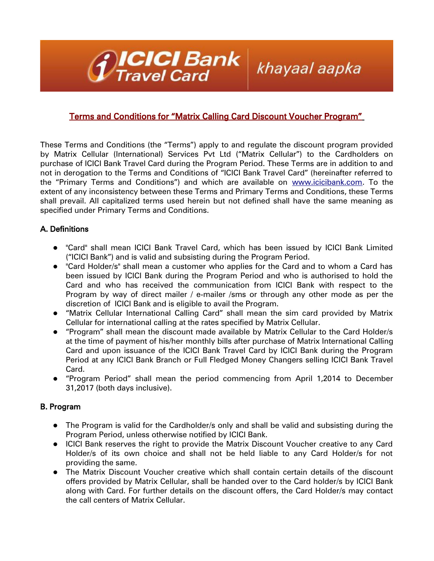

# Terms and Conditions for "Matrix Calling Card Discount Voucher Program"

khayaal aapka

These Terms and Conditions (the "Terms") apply to and regulate the discount program provided by Matrix Cellular (International) Services Pvt Ltd ("Matrix Cellular") to the Cardholders on purchase of ICICI Bank Travel Card during the Program Period. These Terms are in addition to and not in derogation to the Terms and Conditions of "ICICI Bank Travel Card" (hereinafter referred to the "Primary Terms and Conditions") and which are available on [www.icicibank.com.](http://www.icicibank.com/) To the extent of any inconsistency between these Terms and Primary Terms and Conditions, these Terms shall prevail. All capitalized terms used herein but not defined shall have the same meaning as specified under Primary Terms and Conditions.

## A. Definitions

- "Card" shall mean ICICI Bank Travel Card, which has been issued by ICICI Bank Limited ("ICICI Bank") and is valid and subsisting during the Program Period.
- "Card Holder/s" shall mean a customer who applies for the Card and to whom a Card has been issued by ICICI Bank during the Program Period and who is authorised to hold the Card and who has received the communication from ICICI Bank with respect to the Program by way of direct mailer / e-mailer /sms or through any other mode as per the discretion of ICICI Bank and is eligible to avail the Program.
- "Matrix Cellular International Calling Card" shall mean the sim card provided by Matrix Cellular for international calling at the rates specified by Matrix Cellular.
- "Program" shall mean the discount made available by Matrix Cellular to the Card Holder/s at the time of payment of his/her monthly bills after purchase of Matrix International Calling Card and upon issuance of the ICICI Bank Travel Card by ICICI Bank during the Program Period at any ICICI Bank Branch or Full Fledged Money Changers selling ICICI Bank Travel Card.
- "Program Period" shall mean the period commencing from April 1,2014 to December 31,2017 (both days inclusive).

### B. Program

- The Program is valid for the Cardholder/s only and shall be valid and subsisting during the Program Period, unless otherwise notified by ICICI Bank.
- ICICI Bank reserves the right to provide the Matrix Discount Voucher creative to any Card Holder/s of its own choice and shall not be held liable to any Card Holder/s for not providing the same.
- The Matrix Discount Voucher creative which shall contain certain details of the discount offers provided by Matrix Cellular, shall be handed over to the Card holder/s by ICICI Bank along with Card. For further details on the discount offers, the Card Holder/s may contact the call centers of Matrix Cellular.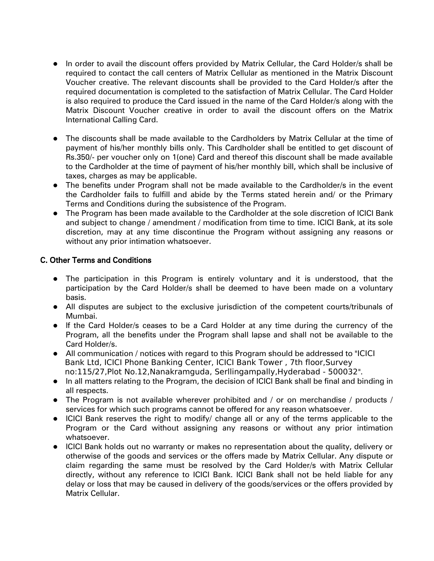- In order to avail the discount offers provided by Matrix Cellular, the Card Holder/s shall be required to contact the call centers of Matrix Cellular as mentioned in the Matrix Discount Voucher creative. The relevant discounts shall be provided to the Card Holder/s after the required documentation is completed to the satisfaction of Matrix Cellular. The Card Holder is also required to produce the Card issued in the name of the Card Holder/s along with the Matrix Discount Voucher creative in order to avail the discount offers on the Matrix International Calling Card.
- The discounts shall be made available to the Cardholders by Matrix Cellular at the time of payment of his/her monthly bills only. This Cardholder shall be entitled to get discount of Rs.350/- per voucher only on 1(one) Card and thereof this discount shall be made available to the Cardholder at the time of payment of his/her monthly bill, which shall be inclusive of taxes, charges as may be applicable.
- The benefits under Program shall not be made available to the Cardholder/s in the event the Cardholder fails to fulfill and abide by the Terms stated herein and/ or the Primary Terms and Conditions during the subsistence of the Program.
- The Program has been made available to the Cardholder at the sole discretion of ICICI Bank and subject to change / amendment / modification from time to time. ICICI Bank, at its sole discretion, may at any time discontinue the Program without assigning any reasons or without any prior intimation whatsoever.

### C. Other Terms and Conditions

- The participation in this Program is entirely voluntary and it is understood, that the participation by the Card Holder/s shall be deemed to have been made on a voluntary basis.
- All disputes are subject to the exclusive jurisdiction of the competent courts/tribunals of Mumbai.
- If the Card Holder/s ceases to be a Card Holder at any time during the currency of the Program, all the benefits under the Program shall lapse and shall not be available to the Card Holder/s.
- All communication / notices with regard to this Program should be addressed to "ICICI Bank Ltd, ICICI Phone Banking Center, ICICI Bank Tower , 7th floor,Survey no:115/27,Plot No.12,Nanakramguda, Serllingampally,Hyderabad - 500032".
- In all matters relating to the Program, the decision of ICICI Bank shall be final and binding in all respects.
- The Program is not available wherever prohibited and / or on merchandise / products / services for which such programs cannot be offered for any reason whatsoever.
- ICICI Bank reserves the right to modify/ change all or any of the terms applicable to the Program or the Card without assigning any reasons or without any prior intimation whatsoever.
- ICICI Bank holds out no warranty or makes no representation about the quality, delivery or otherwise of the goods and services or the offers made by Matrix Cellular. Any dispute or claim regarding the same must be resolved by the Card Holder/s with Matrix Cellular directly, without any reference to ICICI Bank. ICICI Bank shall not be held liable for any delay or loss that may be caused in delivery of the goods/services or the offers provided by Matrix Cellular.